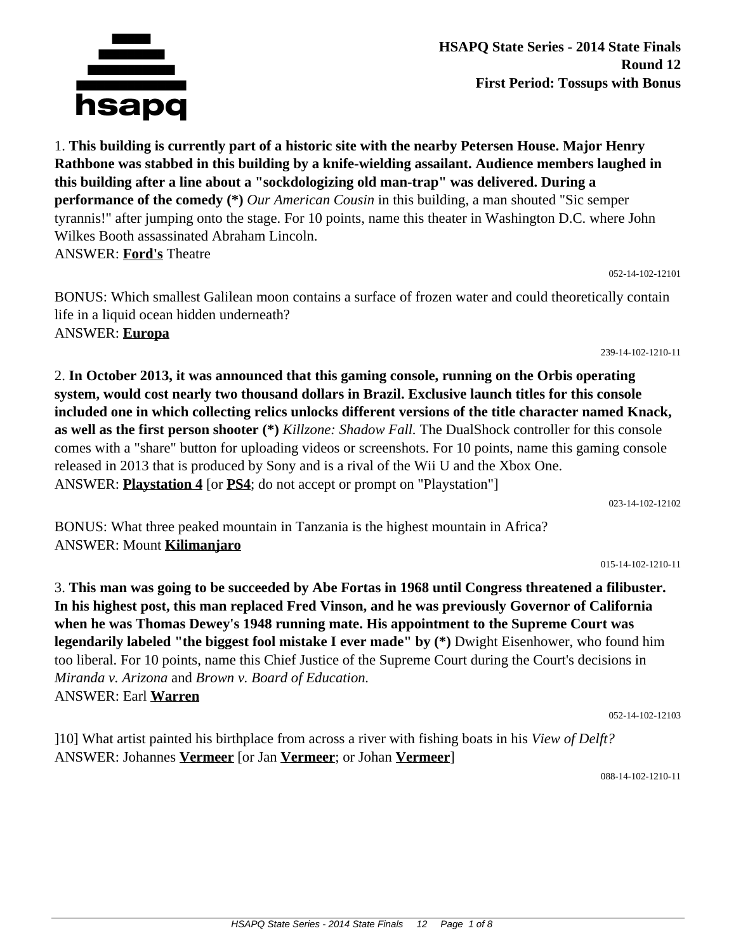

1. **This building is currently part of a historic site with the nearby Petersen House. Major Henry Rathbone was stabbed in this building by a knife-wielding assailant. Audience members laughed in this building after a line about a "sockdologizing old man-trap" was delivered. During a performance of the comedy (\*)** *Our American Cousin* in this building, a man shouted "Sic semper tyrannis!" after jumping onto the stage. For 10 points, name this theater in Washington D.C. where John Wilkes Booth assassinated Abraham Lincoln. ANSWER: **Ford's** Theatre

052-14-102-12101

BONUS: Which smallest Galilean moon contains a surface of frozen water and could theoretically contain life in a liquid ocean hidden underneath? ANSWER: **Europa**

239-14-102-1210-11

2. **In October 2013, it was announced that this gaming console, running on the Orbis operating system, would cost nearly two thousand dollars in Brazil. Exclusive launch titles for this console included one in which collecting relics unlocks different versions of the title character named Knack, as well as the first person shooter (\*)** *Killzone: Shadow Fall.* The DualShock controller for this console comes with a "share" button for uploading videos or screenshots. For 10 points, name this gaming console released in 2013 that is produced by Sony and is a rival of the Wii U and the Xbox One. ANSWER: **Playstation 4** [or **PS4**; do not accept or prompt on "Playstation"]

023-14-102-12102

BONUS: What three peaked mountain in Tanzania is the highest mountain in Africa? ANSWER: Mount **Kilimanjaro**

015-14-102-1210-11

3. **This man was going to be succeeded by Abe Fortas in 1968 until Congress threatened a filibuster. In his highest post, this man replaced Fred Vinson, and he was previously Governor of California when he was Thomas Dewey's 1948 running mate. His appointment to the Supreme Court was legendarily labeled "the biggest fool mistake I ever made" by (\*)** Dwight Eisenhower, who found him too liberal. For 10 points, name this Chief Justice of the Supreme Court during the Court's decisions in *Miranda v. Arizona* and *Brown v. Board of Education.* ANSWER: Earl **Warren**

052-14-102-12103

]10] What artist painted his birthplace from across a river with fishing boats in his *View of Delft?* ANSWER: Johannes **Vermeer** [or Jan **Vermeer**; or Johan **Vermeer**]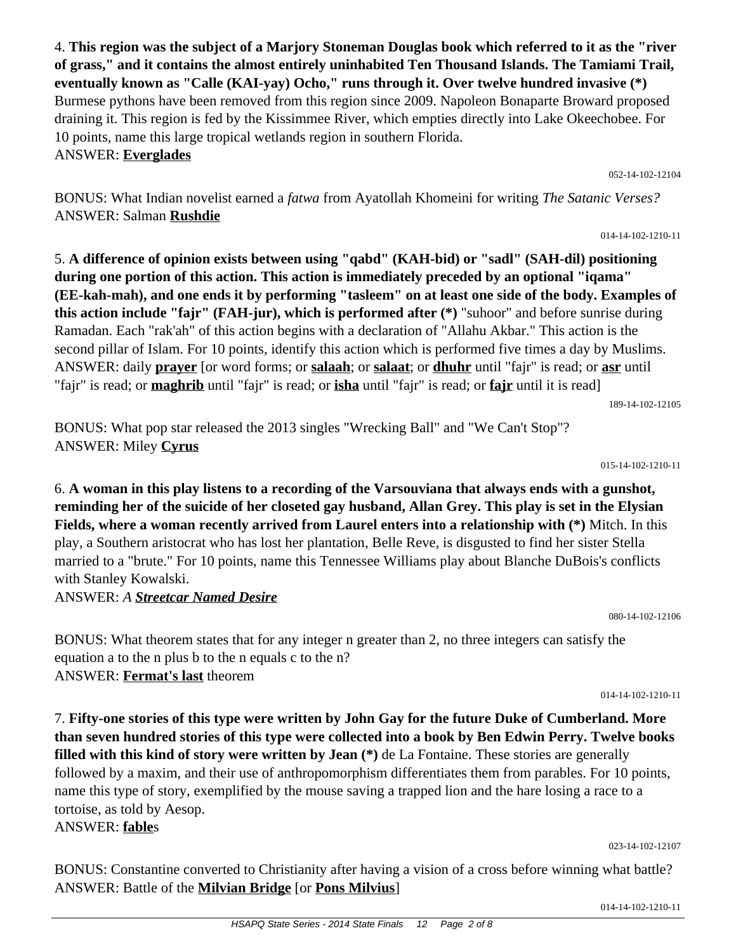4. **This region was the subject of a Marjory Stoneman Douglas book which referred to it as the "river of grass," and it contains the almost entirely uninhabited Ten Thousand Islands. The Tamiami Trail, eventually known as "Calle (KAI-yay) Ocho," runs through it. Over twelve hundred invasive (\*)** Burmese pythons have been removed from this region since 2009. Napoleon Bonaparte Broward proposed draining it. This region is fed by the Kissimmee River, which empties directly into Lake Okeechobee. For 10 points, name this large tropical wetlands region in southern Florida. ANSWER: **Everglades**

BONUS: What Indian novelist earned a *fatwa* from Ayatollah Khomeini for writing *The Satanic Verses?* ANSWER: Salman **Rushdie**

5. **A difference of opinion exists between using "qabd" (KAH-bid) or "sadl" (SAH-dil) positioning during one portion of this action. This action is immediately preceded by an optional "iqama" (EE-kah-mah), and one ends it by performing "tasleem" on at least one side of the body. Examples of this action include "fajr" (FAH-jur), which is performed after (\*)** "suhoor" and before sunrise during Ramadan. Each "rak'ah" of this action begins with a declaration of "Allahu Akbar." This action is the second pillar of Islam. For 10 points, identify this action which is performed five times a day by Muslims. ANSWER: daily **prayer** [or word forms; or **salaah**; or **salaat**; or **dhuhr** until "fajr" is read; or **asr** until "fajr" is read; or **maghrib** until "fajr" is read; or **isha** until "fajr" is read; or **fajr** until it is read]

189-14-102-12105

BONUS: What pop star released the 2013 singles "Wrecking Ball" and "We Can't Stop"? ANSWER: Miley **Cyrus**

015-14-102-1210-11

6. **A woman in this play listens to a recording of the Varsouviana that always ends with a gunshot, reminding her of the suicide of her closeted gay husband, Allan Grey. This play is set in the Elysian Fields, where a woman recently arrived from Laurel enters into a relationship with (\*)** Mitch. In this play, a Southern aristocrat who has lost her plantation, Belle Reve, is disgusted to find her sister Stella married to a "brute." For 10 points, name this Tennessee Williams play about Blanche DuBois's conflicts with Stanley Kowalski.

ANSWER: *A Streetcar Named Desire*

080-14-102-12106

BONUS: What theorem states that for any integer n greater than 2, no three integers can satisfy the equation a to the n plus b to the n equals c to the n? ANSWER: **Fermat's last** theorem

014-14-102-1210-11

7. **Fifty-one stories of this type were written by John Gay for the future Duke of Cumberland. More than seven hundred stories of this type were collected into a book by Ben Edwin Perry. Twelve books filled with this kind of story were written by Jean (\*)** de La Fontaine. These stories are generally followed by a maxim, and their use of anthropomorphism differentiates them from parables. For 10 points, name this type of story, exemplified by the mouse saving a trapped lion and the hare losing a race to a tortoise, as told by Aesop. ANSWER: **fable**s

023-14-102-12107

BONUS: Constantine converted to Christianity after having a vision of a cross before winning what battle? ANSWER: Battle of the **Milvian Bridge** [or **Pons Milvius**]

052-14-102-12104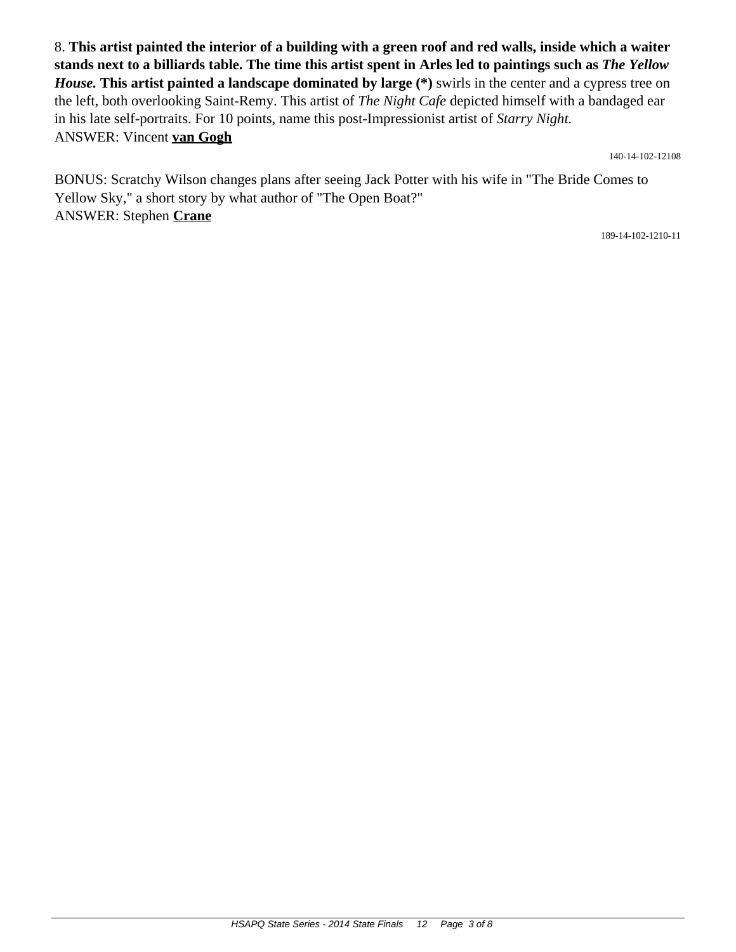8. **This artist painted the interior of a building with a green roof and red walls, inside which a waiter stands next to a billiards table. The time this artist spent in Arles led to paintings such as** *The Yellow House.* **This artist painted a landscape dominated by large (\*)** swirls in the center and a cypress tree on the left, both overlooking Saint-Remy. This artist of *The Night Cafe* depicted himself with a bandaged ear in his late self-portraits. For 10 points, name this post-Impressionist artist of *Starry Night.* ANSWER: Vincent **van Gogh**

140-14-102-12108

BONUS: Scratchy Wilson changes plans after seeing Jack Potter with his wife in "The Bride Comes to Yellow Sky," a short story by what author of "The Open Boat?" ANSWER: Stephen **Crane**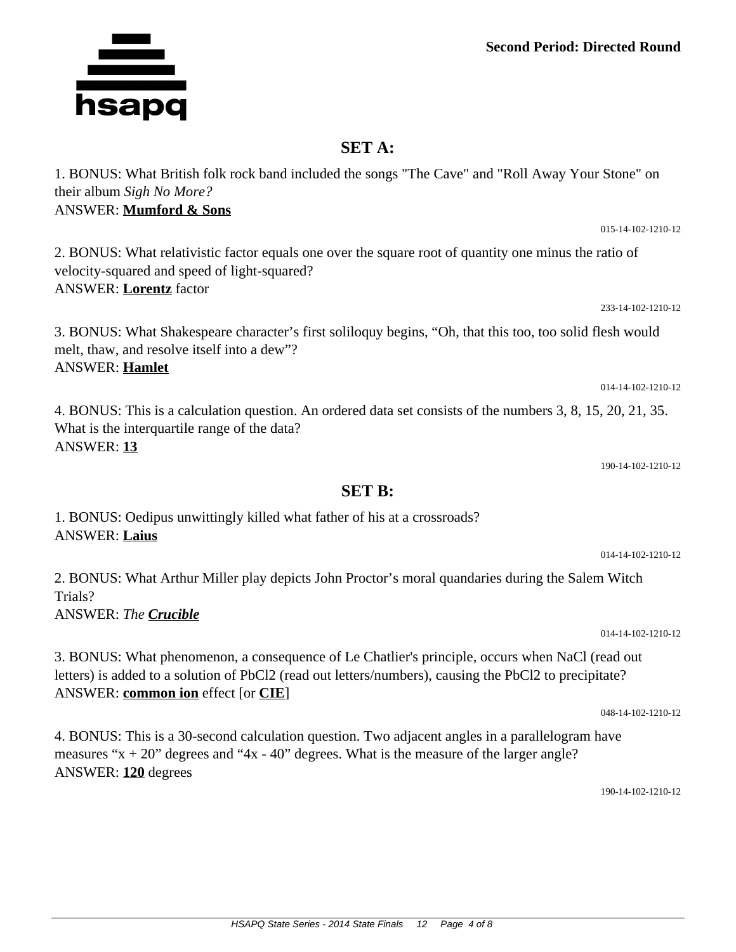## **SET A:**

1. BONUS: What British folk rock band included the songs "The Cave" and "Roll Away Your Stone" on their album *Sigh No More?* ANSWER: **Mumford & Sons**

2. BONUS: What relativistic factor equals one over the square root of quantity one minus the ratio of velocity-squared and speed of light-squared? ANSWER: **Lorentz** factor

3. BONUS: What Shakespeare character's first soliloquy begins, "Oh, that this too, too solid flesh would melt, thaw, and resolve itself into a dew"? ANSWER: **Hamlet**

4. BONUS: This is a calculation question. An ordered data set consists of the numbers 3, 8, 15, 20, 21, 35. What is the interquartile range of the data? ANSWER: **13**

**SET B:**

190-14-102-1210-12

2. BONUS: What Arthur Miller play depicts John Proctor's moral quandaries during the Salem Witch Trials? ANSWER: *The Crucible*

1. BONUS: Oedipus unwittingly killed what father of his at a crossroads?

3. BONUS: What phenomenon, a consequence of Le Chatlier's principle, occurs when NaCl (read out letters) is added to a solution of PbCl2 (read out letters/numbers), causing the PbCl2 to precipitate? ANSWER: **common ion** effect [or **CIE**]

4. BONUS: This is a 30-second calculation question. Two adjacent angles in a parallelogram have measures " $x + 20$ " degrees and " $4x - 40$ " degrees. What is the measure of the larger angle? ANSWER: **120** degrees

190-14-102-1210-12

hsapq



ANSWER: **Laius**

## 015-14-102-1210-12

233-14-102-1210-12

014-14-102-1210-12

014-14-102-1210-12

014-14-102-1210-12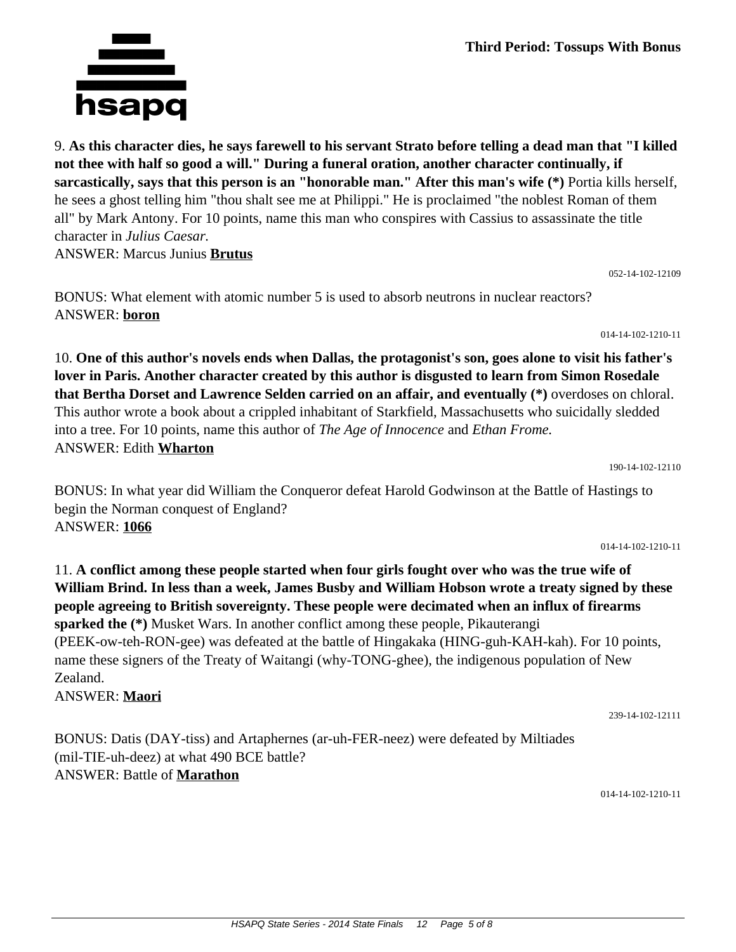## **Third Period: Tossups With Bonus**

9. **As this character dies, he says farewell to his servant Strato before telling a dead man that "I killed not thee with half so good a will." During a funeral oration, another character continually, if sarcastically, says that this person is an "honorable man." After this man's wife (\*)** Portia kills herself, he sees a ghost telling him "thou shalt see me at Philippi." He is proclaimed "the noblest Roman of them all" by Mark Antony. For 10 points, name this man who conspires with Cassius to assassinate the title character in *Julius Caesar.* ANSWER: Marcus Junius **Brutus**

BONUS: What element with atomic number 5 is used to absorb neutrons in nuclear reactors? ANSWER: **boron**

10. **One of this author's novels ends when Dallas, the protagonist's son, goes alone to visit his father's lover in Paris. Another character created by this author is disgusted to learn from Simon Rosedale that Bertha Dorset and Lawrence Selden carried on an affair, and eventually (\*)** overdoses on chloral. This author wrote a book about a crippled inhabitant of Starkfield, Massachusetts who suicidally sledded into a tree. For 10 points, name this author of *The Age of Innocence* and *Ethan Frome.* ANSWER: Edith **Wharton**

BONUS: In what year did William the Conqueror defeat Harold Godwinson at the Battle of Hastings to begin the Norman conquest of England? ANSWER: **1066**

11. **A conflict among these people started when four girls fought over who was the true wife of William Brind. In less than a week, James Busby and William Hobson wrote a treaty signed by these people agreeing to British sovereignty. These people were decimated when an influx of firearms sparked the (\*)** Musket Wars. In another conflict among these people, Pikauterangi (PEEK-ow-teh-RON-gee) was defeated at the battle of Hingakaka (HING-guh-KAH-kah). For 10 points, name these signers of the Treaty of Waitangi (why-TONG-ghee), the indigenous population of New Zealand.

ANSWER: **Maori**

BONUS: Datis (DAY-tiss) and Artaphernes (ar-uh-FER-neez) were defeated by Miltiades (mil-TIE-uh-deez) at what 490 BCE battle? ANSWER: Battle of **Marathon**

014-14-102-1210-11

239-14-102-12111

190-14-102-12110

014-14-102-1210-11

052-14-102-12109

014-14-102-1210-11

hsapq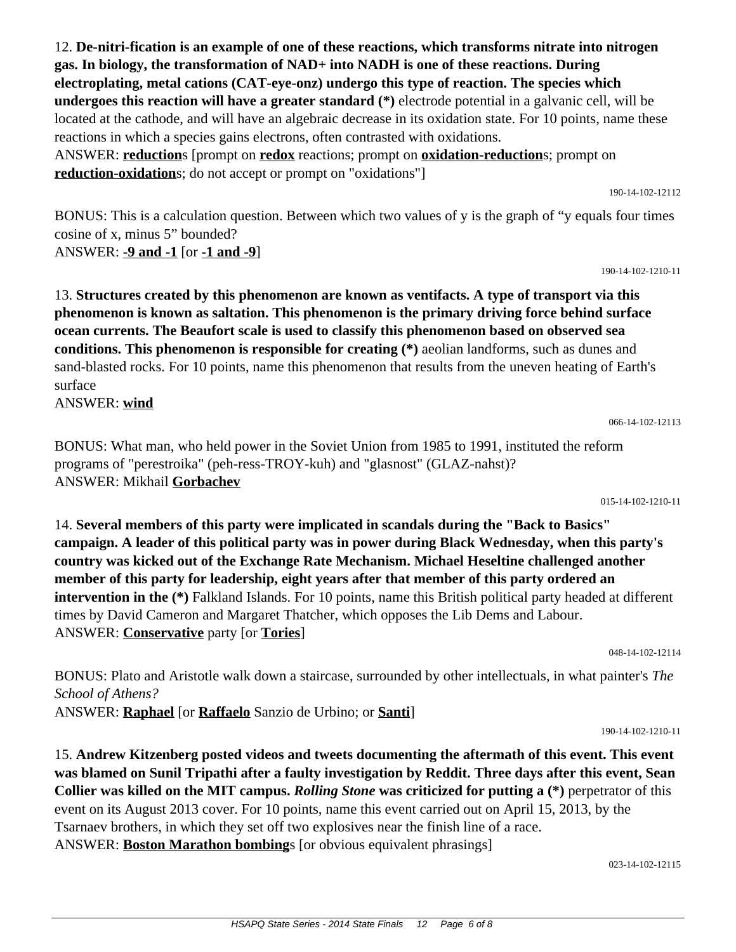12. **De-nitri-fication is an example of one of these reactions, which transforms nitrate into nitrogen gas. In biology, the transformation of NAD+ into NADH is one of these reactions. During electroplating, metal cations (CAT-eye-onz) undergo this type of reaction. The species which undergoes this reaction will have a greater standard (\*)** electrode potential in a galvanic cell, will be located at the cathode, and will have an algebraic decrease in its oxidation state. For 10 points, name these reactions in which a species gains electrons, often contrasted with oxidations. ANSWER: **reduction**s [prompt on **redox** reactions; prompt on **oxidation-reduction**s; prompt on **reduction-oxidation**s; do not accept or prompt on "oxidations"]

190-14-102-12112

BONUS: This is a calculation question. Between which two values of y is the graph of "y equals four times cosine of x, minus 5" bounded? ANSWER: **-9 and -1** [or **-1 and -9**]

190-14-102-1210-11

066-14-102-12113

015-14-102-1210-11

13. **Structures created by this phenomenon are known as ventifacts. A type of transport via this phenomenon is known as saltation. This phenomenon is the primary driving force behind surface ocean currents. The Beaufort scale is used to classify this phenomenon based on observed sea conditions. This phenomenon is responsible for creating (\*)** aeolian landforms, such as dunes and sand-blasted rocks. For 10 points, name this phenomenon that results from the uneven heating of Earth's surface

ANSWER: **wind**

BONUS: What man, who held power in the Soviet Union from 1985 to 1991, instituted the reform programs of "perestroika" (peh-ress-TROY-kuh) and "glasnost" (GLAZ-nahst)? ANSWER: Mikhail **Gorbachev**

14. **Several members of this party were implicated in scandals during the "Back to Basics" campaign. A leader of this political party was in power during Black Wednesday, when this party's country was kicked out of the Exchange Rate Mechanism. Michael Heseltine challenged another member of this party for leadership, eight years after that member of this party ordered an intervention in the (\*)** Falkland Islands. For 10 points, name this British political party headed at different times by David Cameron and Margaret Thatcher, which opposes the Lib Dems and Labour. ANSWER: **Conservative** party [or **Tories**]

048-14-102-12114

190-14-102-1210-11

BONUS: Plato and Aristotle walk down a staircase, surrounded by other intellectuals, in what painter's *The School of Athens?*

ANSWER: **Raphael** [or **Raffaelo** Sanzio de Urbino; or **Santi**]

15. **Andrew Kitzenberg posted videos and tweets documenting the aftermath of this event. This event was blamed on Sunil Tripathi after a faulty investigation by Reddit. Three days after this event, Sean Collier was killed on the MIT campus.** *Rolling Stone* **was criticized for putting a (\*)** perpetrator of this event on its August 2013 cover. For 10 points, name this event carried out on April 15, 2013, by the Tsarnaev brothers, in which they set off two explosives near the finish line of a race. ANSWER: **Boston Marathon bombing**s [or obvious equivalent phrasings]

023-14-102-12115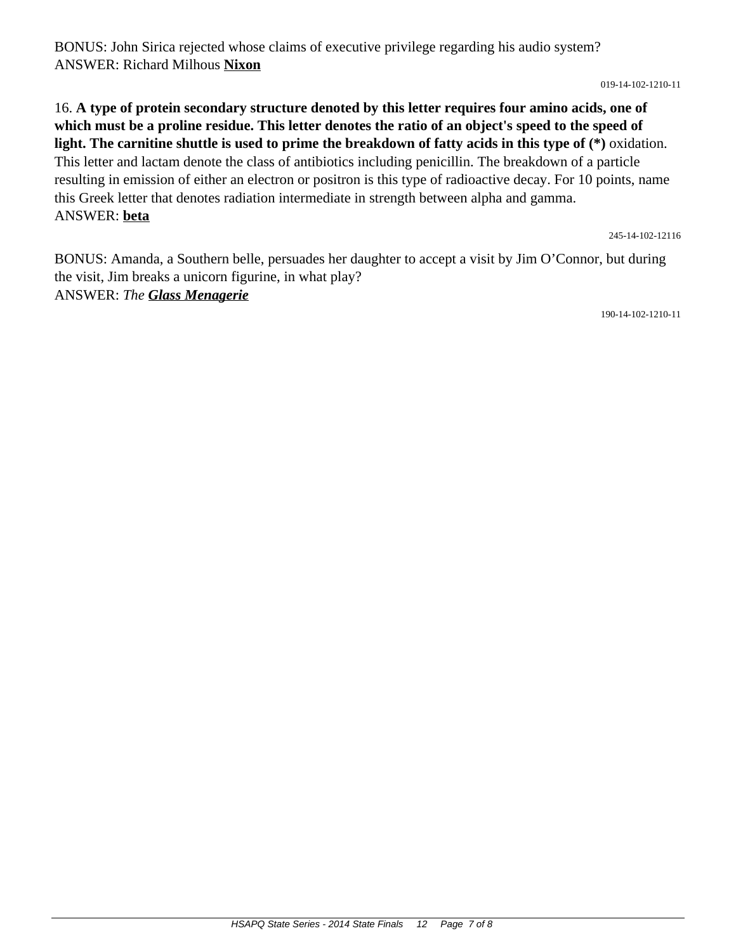019-14-102-1210-11

## 16. **A type of protein secondary structure denoted by this letter requires four amino acids, one of which must be a proline residue. This letter denotes the ratio of an object's speed to the speed of light. The carnitine shuttle is used to prime the breakdown of fatty acids in this type of (\*)** oxidation. This letter and lactam denote the class of antibiotics including penicillin. The breakdown of a particle resulting in emission of either an electron or positron is this type of radioactive decay. For 10 points, name this Greek letter that denotes radiation intermediate in strength between alpha and gamma. ANSWER: **beta**

245-14-102-12116

BONUS: Amanda, a Southern belle, persuades her daughter to accept a visit by Jim O'Connor, but during the visit, Jim breaks a unicorn figurine, in what play? ANSWER: *The Glass Menagerie*